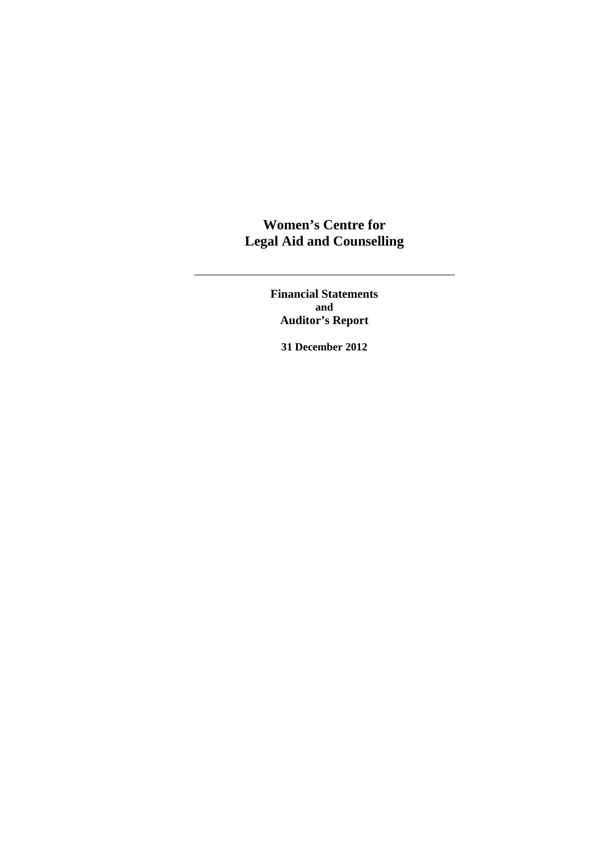**Financial Statements and Auditor's Report** 

**31 December 2012**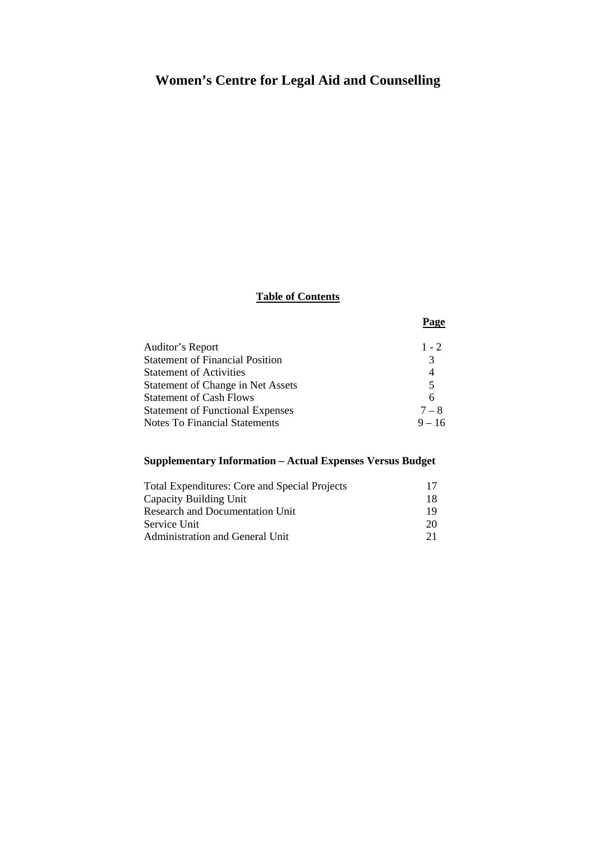## **Table of Contents**

**Page** 

| Auditor's Report                         | $1 - 2$  |
|------------------------------------------|----------|
| <b>Statement of Financial Position</b>   | 3        |
| <b>Statement of Activities</b>           | 4        |
| <b>Statement of Change in Net Assets</b> | 5        |
| <b>Statement of Cash Flows</b>           | 6        |
| <b>Statement of Functional Expenses</b>  | $7 - 8$  |
| <b>Notes To Financial Statements</b>     | $9 - 16$ |
|                                          |          |

### **Supplementary Information – Actual Expenses Versus Budget**

| <b>Total Expenditures: Core and Special Projects</b> |     |
|------------------------------------------------------|-----|
| Capacity Building Unit                               | 18. |
| <b>Research and Documentation Unit</b>               | 19  |
| Service Unit                                         | 20  |
| Administration and General Unit                      | 21  |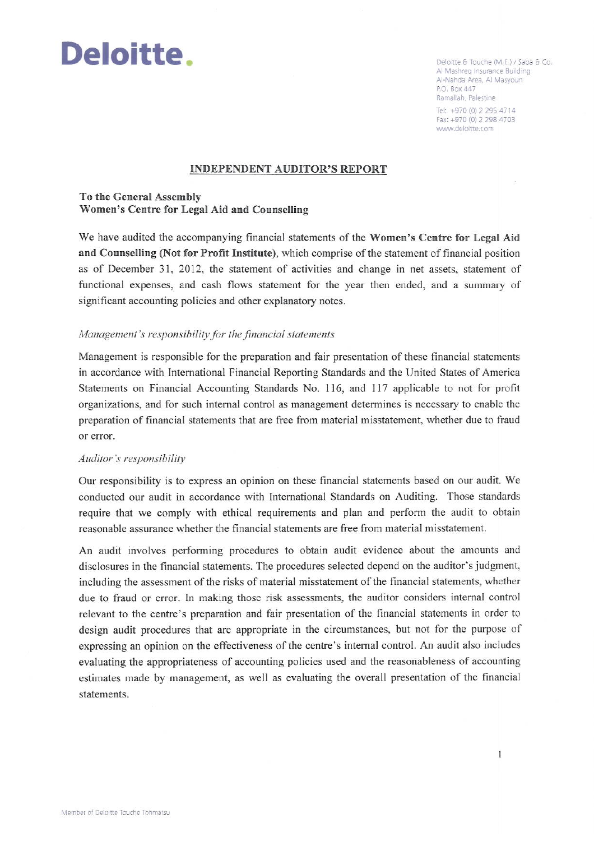

Deloitte & Touche (M.E.) / Saba & Co. Al Mashreg Insurance Building Al-Nahda Area, Al Masyoun P.O. Box 447 Ramallah, Palestine

 $\overline{1}$ 

Tel: +970 (0) 2 295 4714 Fax: +970 (0) 2 298 4703 www.deloitte.com

#### **INDEPENDENT AUDITOR'S REPORT**

To the General Assembly Women's Centre for Legal Aid and Counselling

We have audited the accompanying financial statements of the Women's Centre for Legal Aid and Counselling (Not for Profit Institute), which comprise of the statement of financial position as of December 31, 2012, the statement of activities and change in net assets, statement of functional expenses, and cash flows statement for the year then ended, and a summary of significant accounting policies and other explanatory notes.

#### Management's responsibility for the financial statements

Management is responsible for the preparation and fair presentation of these financial statements in accordance with International Financial Reporting Standards and the United States of America Statements on Financial Accounting Standards No. 116, and 117 applicable to not for profit organizations, and for such internal control as management determines is necessary to enable the preparation of financial statements that are free from material misstatement, whether due to fraud or error.

#### Auditor's responsibility

Our responsibility is to express an opinion on these financial statements based on our audit. We conducted our audit in accordance with International Standards on Auditing. Those standards require that we comply with ethical requirements and plan and perform the audit to obtain reasonable assurance whether the financial statements are free from material misstatement.

An audit involves performing procedures to obtain audit evidence about the amounts and disclosures in the financial statements. The procedures selected depend on the auditor's judgment, including the assessment of the risks of material misstatement of the financial statements, whether due to fraud or error. In making those risk assessments, the auditor considers internal control relevant to the centre's preparation and fair presentation of the financial statements in order to design audit procedures that are appropriate in the circumstances, but not for the purpose of expressing an opinion on the effectiveness of the centre's internal control. An audit also includes evaluating the appropriateness of accounting policies used and the reasonableness of accounting estimates made by management, as well as evaluating the overall presentation of the financial statements.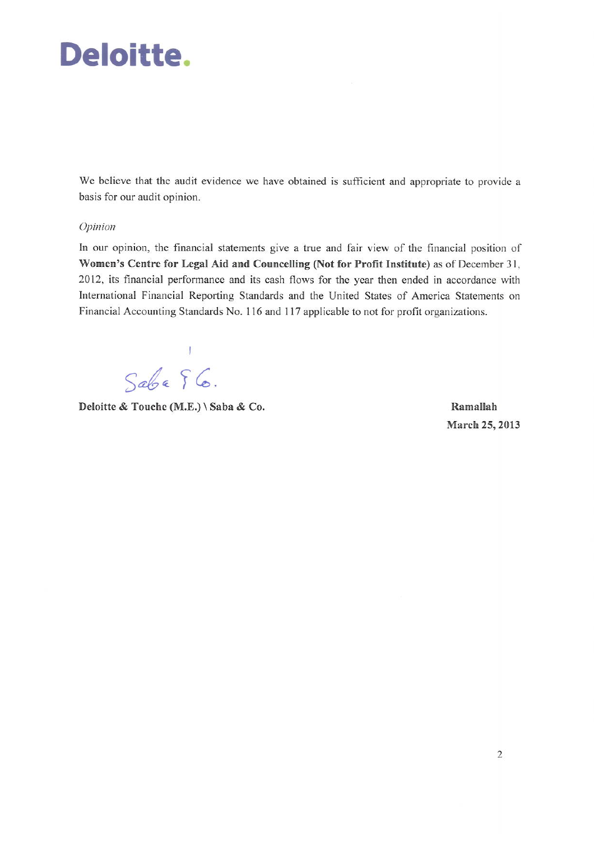# Deloitte.

We believe that the audit evidence we have obtained is sufficient and appropriate to provide a basis for our audit opinion.

#### Opinion

In our opinion, the financial statements give a true and fair view of the financial position of Women's Centre for Legal Aid and Councelling (Not for Profit Institute) as of December 31, 2012, its financial performance and its cash flows for the year then ended in accordance with International Financial Reporting Standards and the United States of America Statements on Financial Accounting Standards No. 116 and 117 applicable to not for profit organizations.

T  $Sabe$   $6.$ 

Deloitte & Touche (M.E.) \ Saba & Co.

Ramallah March 25, 2013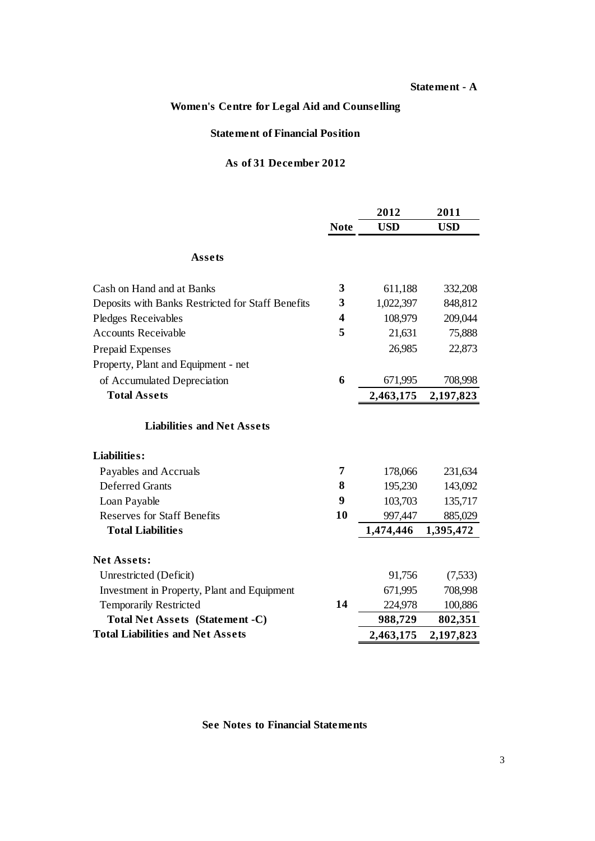#### **Statement - A**

### **Women's Centre for Legal Aid and Counselling**

#### **Statement of Financial Position**

### **As of 31 December 2012**

|                                                   |             | 2012       | 2011       |
|---------------------------------------------------|-------------|------------|------------|
|                                                   | <b>Note</b> | <b>USD</b> | <b>USD</b> |
| Assets                                            |             |            |            |
| Cash on Hand and at Banks                         | 3           | 611,188    | 332,208    |
| Deposits with Banks Restricted for Staff Benefits | 3           | 1,022,397  | 848,812    |
| <b>Pledges Receivables</b>                        | 4           | 108,979    | 209,044    |
| <b>Accounts Receivable</b>                        | 5           | 21,631     | 75,888     |
| <b>Prepaid Expenses</b>                           |             | 26,985     | 22,873     |
| Property, Plant and Equipment - net               |             |            |            |
| of Accumulated Depreciation                       | 6           | 671,995    | 708,998    |
| <b>Total Assets</b>                               |             | 2,463,175  | 2,197,823  |
| <b>Liabilities and Net Assets</b>                 |             |            |            |
| Liabilities:                                      |             |            |            |
| Payables and Accruals                             | 7           | 178,066    | 231,634    |
| <b>Deferred Grants</b>                            | 8           | 195,230    | 143,092    |
| Loan Payable                                      | 9           | 103,703    | 135,717    |
| <b>Reserves for Staff Benefits</b>                | 10          | 997,447    | 885,029    |
| <b>Total Liabilities</b>                          |             | 1,474,446  | 1,395,472  |
| <b>Net Assets:</b>                                |             |            |            |
| Unrestricted (Deficit)                            |             | 91,756     | (7,533)    |
| Investment in Property, Plant and Equipment       |             | 671,995    | 708,998    |
| <b>Temporarily Restricted</b>                     | 14          | 224,978    | 100,886    |
| Total Net Assets (Statement -C)                   |             | 988,729    | 802,351    |
| <b>Total Liabilities and Net Assets</b>           |             | 2,463,175  | 2,197,823  |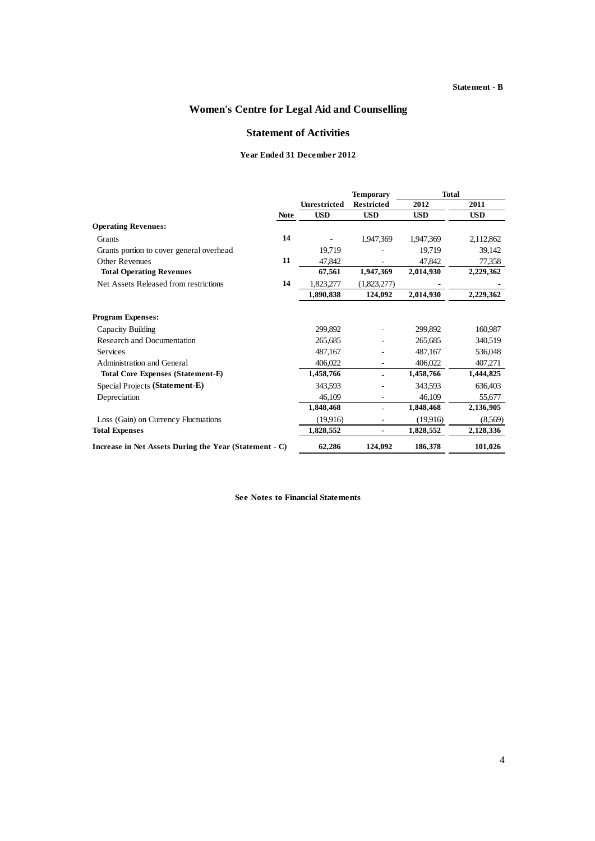#### **Statement - B**

### **Women's Centre for Legal Aid and Counselling**

#### **Statement of Activities**

#### **Year Ended 31 December 2012**

|                                                        |             |                     | <b>Temporary</b>  | <b>Total</b> |            |  |
|--------------------------------------------------------|-------------|---------------------|-------------------|--------------|------------|--|
|                                                        |             | <b>Unrestricted</b> | <b>Restricted</b> | 2012         | 2011       |  |
|                                                        | <b>Note</b> | <b>USD</b>          | <b>USD</b>        | <b>USD</b>   | <b>USD</b> |  |
| <b>Operating Revenues:</b>                             |             |                     |                   |              |            |  |
| Grants                                                 | 14          |                     | 1,947,369         | 1,947,369    | 2,112,862  |  |
| Grants portion to cover general overhead               |             | 19,719              |                   | 19,719       | 39,142     |  |
| Other Revenues                                         | 11          | 47,842              |                   | 47,842       | 77,358     |  |
| <b>Total Operating Revenues</b>                        |             | 67,561              | 1,947,369         | 2,014,930    | 2,229,362  |  |
| Net Assets Released from restrictions                  | 14          | 1,823,277           | (1,823,277)       |              |            |  |
|                                                        |             | 1,890,838           | 124,092           | 2,014,930    | 2,229,362  |  |
| <b>Program Expenses:</b>                               |             |                     |                   |              |            |  |
| Capacity Building                                      |             | 299,892             |                   | 299,892      | 160,987    |  |
| <b>Research and Documentation</b>                      |             | 265,685             |                   | 265,685      | 340,519    |  |
| Services                                               |             | 487,167             |                   | 487,167      | 536,048    |  |
| Administration and General                             |             | 406,022             |                   | 406,022      | 407,271    |  |
| <b>Total Core Expenses (Statement-E)</b>               |             | 1,458,766           |                   | 1,458,766    | 1,444,825  |  |
| Special Projects (Statement-E)                         |             | 343,593             |                   | 343,593      | 636,403    |  |
| Depreciation                                           |             | 46,109              |                   | 46,109       | 55,677     |  |
|                                                        |             | 1,848,468           |                   | 1,848,468    | 2,136,905  |  |
| Loss (Gain) on Currency Fluctuations                   |             | (19.916)            |                   | (19,916)     | (8,569)    |  |
| <b>Total Expenses</b>                                  |             | 1,828,552           | ٠                 | 1,828,552    | 2,128,336  |  |
| Increase in Net Assets During the Year (Statement - C) |             | 62,286              | 124,092           | 186,378      | 101,026    |  |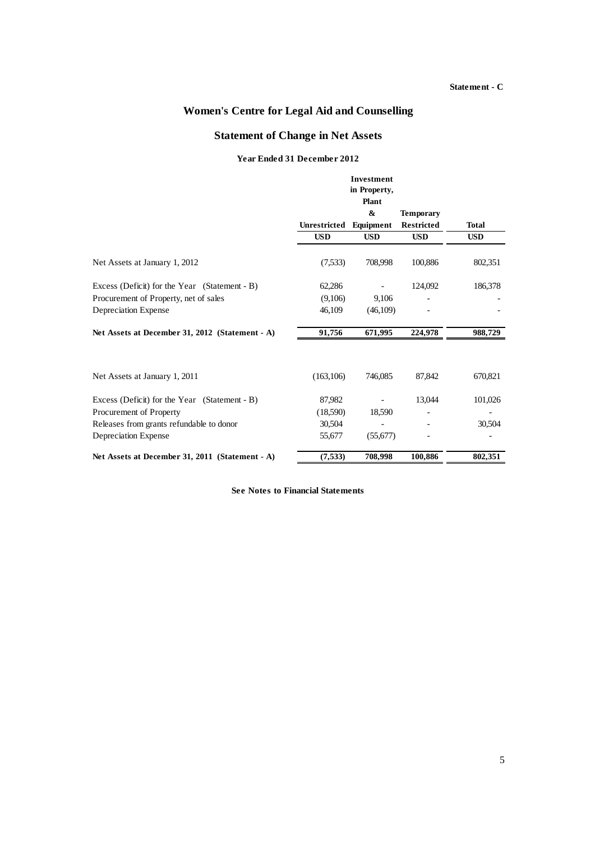#### **Statement - C**

### **Women's Centre for Legal Aid and Counselling**

#### **Statement of Change in Net Assets**

#### **Year Ended 31 December 2012**

|                                                 |              | <b>Investment</b> |                   |            |
|-------------------------------------------------|--------------|-------------------|-------------------|------------|
|                                                 |              | in Property,      |                   |            |
|                                                 |              | Plant             |                   |            |
|                                                 |              | &                 | <b>Temporary</b>  |            |
|                                                 | Unrestricted | Equipment         | <b>Restricted</b> | Total      |
|                                                 | <b>USD</b>   | <b>USD</b>        | <b>USD</b>        | <b>USD</b> |
| Net Assets at January 1, 2012                   | (7,533)      | 708,998           | 100,886           | 802,351    |
| Excess (Deficit) for the Year (Statement - B)   | 62,286       |                   | 124,092           | 186,378    |
| Procurement of Property, net of sales           | (9,106)      | 9,106             |                   |            |
| Depreciation Expense                            | 46,109       | (46,109)          |                   |            |
| Net Assets at December 31, 2012 (Statement - A) | 91,756       | 671,995           | 224,978           | 988,729    |
|                                                 |              |                   |                   |            |
| Net Assets at January 1, 2011                   | (163, 106)   | 746,085           | 87,842            | 670,821    |
| Excess (Deficit) for the Year (Statement - B)   | 87,982       |                   | 13,044            | 101,026    |
| Procurement of Property                         | (18,590)     | 18,590            |                   |            |
| Releases from grants refundable to donor        | 30,504       |                   |                   | 30,504     |
| Depreciation Expense                            | 55,677       | (55,677)          |                   |            |
| Net Assets at December 31, 2011 (Statement - A) | (7,533)      | 708,998           | 100,886           | 802,351    |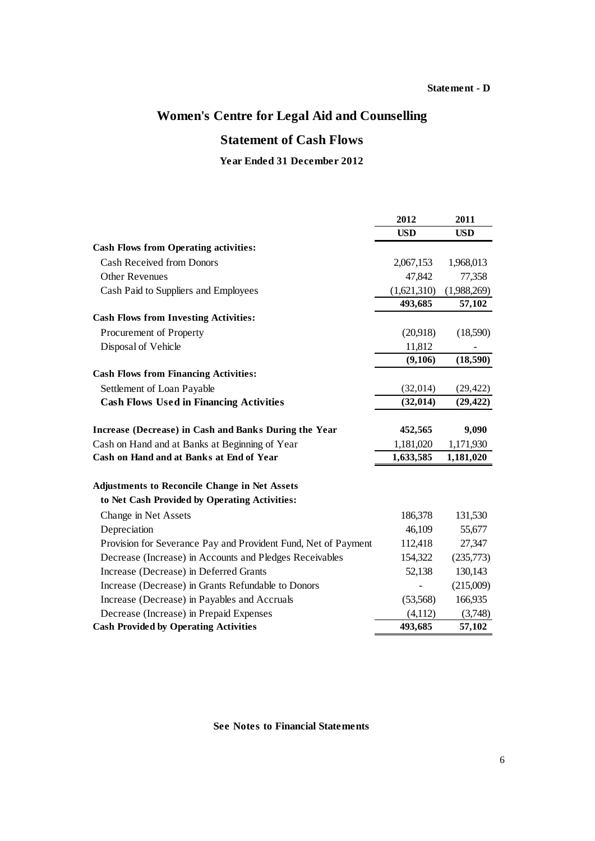## **Statement of Cash Flows**

### **Year Ended 31 December 2012**

|                                                                | 2012        | 2011        |
|----------------------------------------------------------------|-------------|-------------|
|                                                                | <b>USD</b>  | <b>USD</b>  |
| <b>Cash Flows from Operating activities:</b>                   |             |             |
| <b>Cash Received from Donors</b>                               | 2,067,153   | 1,968,013   |
| <b>Other Revenues</b>                                          | 47,842      | 77,358      |
| Cash Paid to Suppliers and Employees                           | (1,621,310) | (1,988,269) |
|                                                                | 493,685     | 57,102      |
| <b>Cash Flows from Investing Activities:</b>                   |             |             |
| Procurement of Property                                        | (20,918)    | (18,590)    |
| Disposal of Vehicle                                            | 11,812      |             |
|                                                                | (9,106)     | (18, 590)   |
| <b>Cash Flows from Financing Activities:</b>                   |             |             |
| Settlement of Loan Payable                                     | (32,014)    | (29, 422)   |
| <b>Cash Flows Used in Financing Activities</b>                 | (32, 014)   | (29, 422)   |
|                                                                |             |             |
| Increase (Decrease) in Cash and Banks During the Year          | 452,565     | 9,090       |
| Cash on Hand and at Banks at Beginning of Year                 | 1,181,020   | 1,171,930   |
| Cash on Hand and at Banks at End of Year                       | 1,633,585   | 1,181,020   |
| <b>Adjustments to Reconcile Change in Net Assets</b>           |             |             |
| to Net Cash Provided by Operating Activities:                  |             |             |
| Change in Net Assets                                           | 186,378     | 131,530     |
| Depreciation                                                   | 46,109      | 55,677      |
| Provision for Severance Pay and Provident Fund, Net of Payment | 112,418     | 27,347      |
| Decrease (Increase) in Accounts and Pledges Receivables        | 154,322     | (235,773)   |
| Increase (Decrease) in Deferred Grants                         | 52,138      | 130,143     |
| Increase (Decrease) in Grants Refundable to Donors             |             | (215,009)   |
| Increase (Decrease) in Payables and Accruals                   | (53,568)    | 166,935     |
| Decrease (Increase) in Prepaid Expenses                        | (4,112)     | (3,748)     |
| <b>Cash Provided by Operating Activities</b>                   | 493,685     | 57,102      |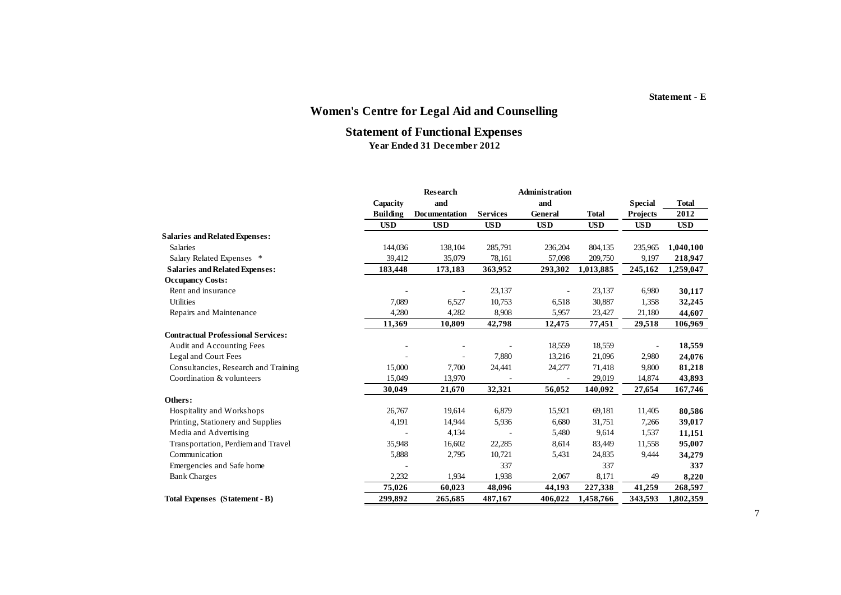#### **Statement - E**

# **Women's Centre for Legal Aid and Counselling**

#### **Statement of Functional Expenses Year Ended 31 December 2012**

|                                           |                 | <b>Research</b> |                 | <b>Administration</b> |              |                 |              |
|-------------------------------------------|-----------------|-----------------|-----------------|-----------------------|--------------|-----------------|--------------|
|                                           | Capacity        | and             |                 | and                   |              | <b>Special</b>  | <b>Total</b> |
|                                           | <b>Building</b> | Documentation   | <b>Services</b> | General               | <b>Total</b> | <b>Projects</b> | 2012         |
|                                           | <b>USD</b>      | <b>USD</b>      | <b>USD</b>      | <b>USD</b>            | <b>USD</b>   | <b>USD</b>      | <b>USD</b>   |
| <b>Salaries and Related Expenses:</b>     |                 |                 |                 |                       |              |                 |              |
| <b>Salaries</b>                           | 144,036         | 138,104         | 285,791         | 236,204               | 804,135      | 235,965         | 1,040,100    |
| Salary Related Expenses *                 | 39,412          | 35,079          | 78,161          | 57,098                | 209,750      | 9,197           | 218,947      |
| <b>Salaries and Related Expenses:</b>     | 183,448         | 173,183         | 363,952         | 293,302               | 1,013,885    | 245,162         | 1,259,047    |
| <b>Occupancy Costs:</b>                   |                 |                 |                 |                       |              |                 |              |
| Rent and insurance                        |                 |                 | 23,137          |                       | 23,137       | 6,980           | 30,117       |
| <b>Utilities</b>                          | 7,089           | 6,527           | 10,753          | 6,518                 | 30,887       | 1,358           | 32,245       |
| Repairs and Maintenance                   | 4,280           | 4,282           | 8,908           | 5,957                 | 23,427       | 21,180          | 44,607       |
|                                           | 11,369          | 10,809          | 42,798          | 12,475                | 77,451       | 29,518          | 106,969      |
| <b>Contractual Professional Services:</b> |                 |                 |                 |                       |              |                 |              |
| Audit and Accounting Fees                 |                 |                 |                 | 18,559                | 18,559       |                 | 18,559       |
| Legal and Court Fees                      |                 | ٠               | 7,880           | 13,216                | 21,096       | 2,980           | 24,076       |
| Consultancies, Research and Training      | 15,000          | 7,700           | 24,441          | 24,277                | 71,418       | 9,800           | 81,218       |
| Coordination & volunteers                 | 15,049          | 13,970          |                 |                       | 29,019       | 14,874          | 43,893       |
|                                           | 30,049          | 21,670          | 32,321          | 56,052                | 140,092      | 27,654          | 167,746      |
| Others:                                   |                 |                 |                 |                       |              |                 |              |
| Hospitality and Workshops                 | 26,767          | 19,614          | 6,879           | 15,921                | 69,181       | 11,405          | 80,586       |
| Printing, Stationery and Supplies         | 4,191           | 14,944          | 5,936           | 6,680                 | 31,751       | 7,266           | 39,017       |
| Media and Advertising                     |                 | 4,134           |                 | 5,480                 | 9,614        | 1,537           | 11,151       |
| Transportation, Perdiem and Travel        | 35,948          | 16,602          | 22,285          | 8,614                 | 83,449       | 11,558          | 95,007       |
| Communication                             | 5,888           | 2,795           | 10,721          | 5,431                 | 24,835       | 9,444           | 34,279       |
| Emergencies and Safe home                 |                 |                 | 337             |                       | 337          |                 | 337          |
| <b>Bank Charges</b>                       | 2,232           | 1,934           | 1,938           | 2,067                 | 8,171        | 49              | 8,220        |
|                                           | 75,026          | 60,023          | 48,096          | 44,193                | 227,338      | 41,259          | 268,597      |
| Total Expenses (Statement - B)            | 299,892         | 265,685         | 487,167         | 406,022               | 1,458,766    | 343,593         | 1,802,359    |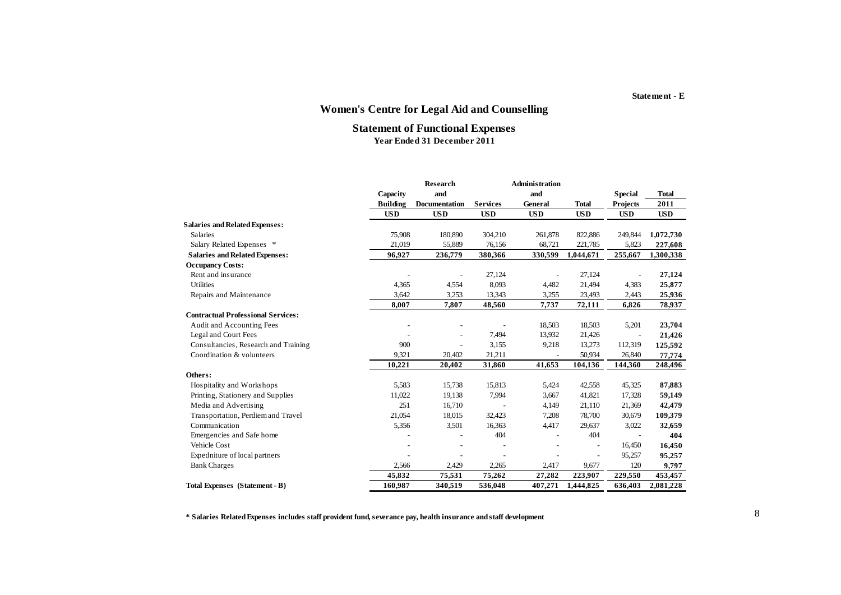# **Statement of Functional Expenses**

**Year Ended 31 December 2011**

|                                           |                 | Research      |                 | <b>Administration</b> |              |                 |            |
|-------------------------------------------|-----------------|---------------|-----------------|-----------------------|--------------|-----------------|------------|
|                                           | Capacity        | and           |                 | and                   |              | <b>Special</b>  | Total      |
|                                           | <b>Building</b> | Documentation | <b>Services</b> | General               | <b>Total</b> | <b>Projects</b> | 2011       |
|                                           | <b>USD</b>      | <b>USD</b>    | <b>USD</b>      | <b>USD</b>            | <b>USD</b>   | <b>USD</b>      | <b>USD</b> |
| <b>Salaries and Related Expenses:</b>     |                 |               |                 |                       |              |                 |            |
| <b>Salaries</b>                           | 75,908          | 180,890       | 304,210         | 261,878               | 822,886      | 249,844         | 1,072,730  |
| Salary Related Expenses *                 | 21,019          | 55,889        | 76,156          | 68,721                | 221,785      | 5,823           | 227,608    |
| <b>Salaries and Related Expenses:</b>     | 96,927          | 236,779       | 380,366         | 330,599               | 1,044,671    | 255,667         | 1,300,338  |
| <b>Occupancy Costs:</b>                   |                 |               |                 |                       |              |                 |            |
| Rent and insurance                        |                 |               | 27,124          |                       | 27,124       |                 | 27,124     |
| <b>Utilities</b>                          | 4,365           | 4,554         | 8,093           | 4,482                 | 21,494       | 4,383           | 25,877     |
| Repairs and Maintenance                   | 3,642           | 3,253         | 13,343          | 3,255                 | 23,493       | 2,443           | 25,936     |
|                                           | 8,007           | 7,807         | 48,560          | 7,737                 | 72,111       | 6,826           | 78,937     |
| <b>Contractual Professional Services:</b> |                 |               |                 |                       |              |                 |            |
| Audit and Accounting Fees                 |                 |               |                 | 18,503                | 18,503       | 5,201           | 23,704     |
| Legal and Court Fees                      |                 |               | 7,494           | 13,932                | 21,426       |                 | 21,426     |
| Consultancies, Research and Training      | 900             |               | 3,155           | 9,218                 | 13,273       | 112,319         | 125,592    |
| Coordination & volunteers                 | 9,321           | 20,402        | 21,211          |                       | 50,934       | 26,840          | 77,774     |
|                                           | 10,221          | 20,402        | 31,860          | 41,653                | 104,136      | 144,360         | 248,496    |
| Others:                                   |                 |               |                 |                       |              |                 |            |
| Hospitality and Workshops                 | 5,583           | 15,738        | 15,813          | 5,424                 | 42,558       | 45,325          | 87,883     |
| Printing, Stationery and Supplies         | 11,022          | 19,138        | 7,994           | 3,667                 | 41,821       | 17,328          | 59,149     |
| Media and Advertising                     | 251             | 16,710        |                 | 4,149                 | 21,110       | 21,369          | 42,479     |
| Transportation, Perdiem and Travel        | 21,054          | 18,015        | 32,423          | 7,208                 | 78,700       | 30,679          | 109,379    |
| Communication                             | 5,356           | 3,501         | 16,363          | 4,417                 | 29,637       | 3,022           | 32,659     |
| Emergencies and Safe home                 |                 |               | 404             |                       | 404          |                 | 404        |
| Vehicle Cost                              |                 |               |                 |                       |              | 16,450          | 16,450     |
| Expedniture of local partners             |                 |               |                 |                       |              | 95,257          | 95,257     |
| <b>Bank Charges</b>                       | 2,566           | 2,429         | 2,265           | 2,417                 | 9,677        | 120             | 9,797      |
|                                           | 45,832          | 75,531        | 75,262          | 27,282                | 223,907      | 229,550         | 453,457    |
| Total Expenses (Statement - B)            | 160,987         | 340,519       | 536,048         | 407,271               | 1,444,825    | 636,403         | 2,081,228  |

**\* Salaries Related Expenses includes staff provident fund, severance pay, health insurance and staff development**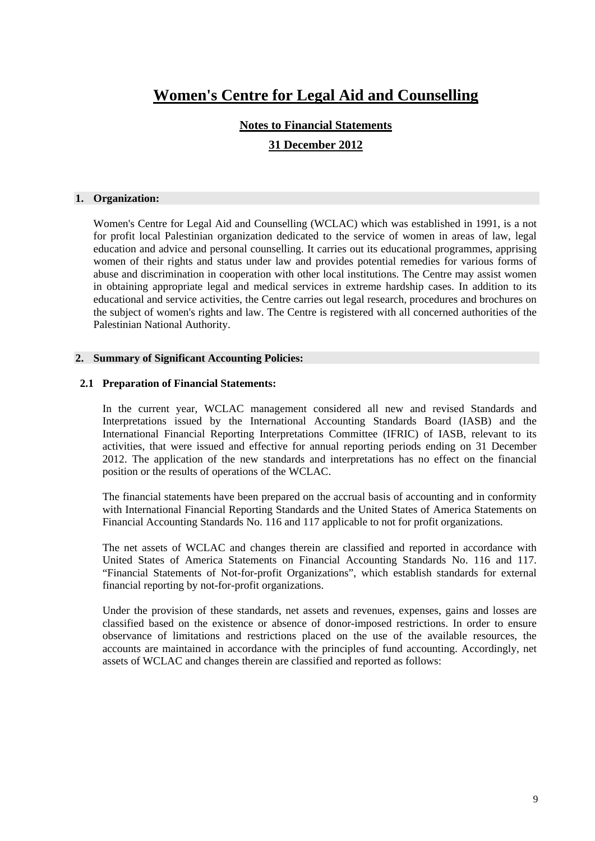#### **Notes to Financial Statements**

#### **31 December 2012**

#### **1. Organization:**

Women's Centre for Legal Aid and Counselling (WCLAC) which was established in 1991, is a not for profit local Palestinian organization dedicated to the service of women in areas of law, legal education and advice and personal counselling. It carries out its educational programmes, apprising women of their rights and status under law and provides potential remedies for various forms of abuse and discrimination in cooperation with other local institutions. The Centre may assist women in obtaining appropriate legal and medical services in extreme hardship cases. In addition to its educational and service activities, the Centre carries out legal research, procedures and brochures on the subject of women's rights and law. The Centre is registered with all concerned authorities of the Palestinian National Authority.

#### **2. Summary of Significant Accounting Policies:**

#### **2.1 Preparation of Financial Statements:**

In the current year, WCLAC management considered all new and revised Standards and Interpretations issued by the International Accounting Standards Board (IASB) and the International Financial Reporting Interpretations Committee (IFRIC) of IASB, relevant to its activities, that were issued and effective for annual reporting periods ending on 31 December 2012. The application of the new standards and interpretations has no effect on the financial position or the results of operations of the WCLAC.

The financial statements have been prepared on the accrual basis of accounting and in conformity with International Financial Reporting Standards and the United States of America Statements on Financial Accounting Standards No. 116 and 117 applicable to not for profit organizations.

The net assets of WCLAC and changes therein are classified and reported in accordance with United States of America Statements on Financial Accounting Standards No. 116 and 117. "Financial Statements of Not-for-profit Organizations", which establish standards for external financial reporting by not-for-profit organizations.

Under the provision of these standards, net assets and revenues, expenses, gains and losses are classified based on the existence or absence of donor-imposed restrictions. In order to ensure observance of limitations and restrictions placed on the use of the available resources, the accounts are maintained in accordance with the principles of fund accounting. Accordingly, net assets of WCLAC and changes therein are classified and reported as follows: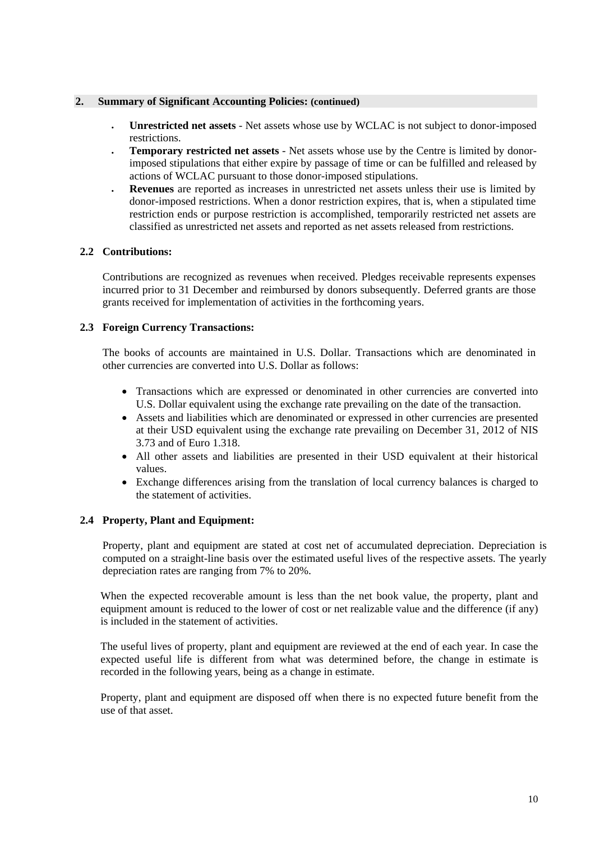#### **2. Summary of Significant Accounting Policies: (continued)**

- **Unrestricted net assets** Net assets whose use by WCLAC is not subject to donor-imposed restrictions.
- **Temporary restricted net assets** Net assets whose use by the Centre is limited by donorimposed stipulations that either expire by passage of time or can be fulfilled and released by actions of WCLAC pursuant to those donor-imposed stipulations.
- **Revenues** are reported as increases in unrestricted net assets unless their use is limited by donor-imposed restrictions. When a donor restriction expires, that is, when a stipulated time restriction ends or purpose restriction is accomplished, temporarily restricted net assets are classified as unrestricted net assets and reported as net assets released from restrictions.

#### **2.2 Contributions:**

Contributions are recognized as revenues when received. Pledges receivable represents expenses incurred prior to 31 December and reimbursed by donors subsequently. Deferred grants are those grants received for implementation of activities in the forthcoming years.

#### **2.3 Foreign Currency Transactions:**

The books of accounts are maintained in U.S. Dollar. Transactions which are denominated in other currencies are converted into U.S. Dollar as follows:

- Transactions which are expressed or denominated in other currencies are converted into U.S. Dollar equivalent using the exchange rate prevailing on the date of the transaction.
- Assets and liabilities which are denominated or expressed in other currencies are presented at their USD equivalent using the exchange rate prevailing on December 31, 2012 of NIS 3.73 and of Euro 1.318.
- All other assets and liabilities are presented in their USD equivalent at their historical values.
- Exchange differences arising from the translation of local currency balances is charged to the statement of activities.

#### **2.4 Property, Plant and Equipment:**

Property, plant and equipment are stated at cost net of accumulated depreciation. Depreciation is computed on a straight-line basis over the estimated useful lives of the respective assets. The yearly depreciation rates are ranging from 7% to 20%.

When the expected recoverable amount is less than the net book value, the property, plant and equipment amount is reduced to the lower of cost or net realizable value and the difference (if any) is included in the statement of activities.

The useful lives of property, plant and equipment are reviewed at the end of each year. In case the expected useful life is different from what was determined before, the change in estimate is recorded in the following years, being as a change in estimate.

Property, plant and equipment are disposed off when there is no expected future benefit from the use of that asset.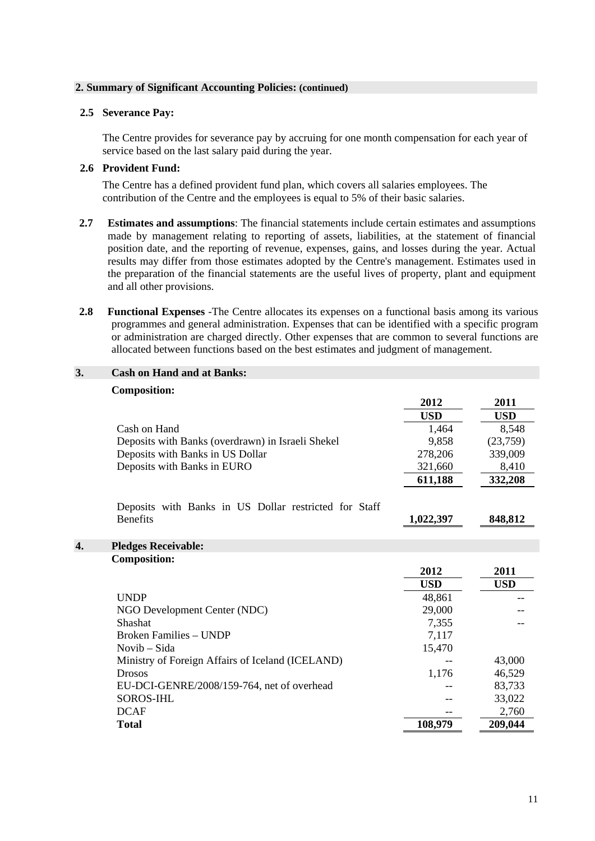#### **2. Summary of Significant Accounting Policies: (continued)**

#### **2.5 Severance Pay:**

The Centre provides for severance pay by accruing for one month compensation for each year of service based on the last salary paid during the year.

#### **2.6 Provident Fund:**

The Centre has a defined provident fund plan, which covers all salaries employees. The contribution of the Centre and the employees is equal to 5% of their basic salaries.

- **2.7 Estimates and assumptions**: The financial statements include certain estimates and assumptions made by management relating to reporting of assets, liabilities, at the statement of financial position date, and the reporting of revenue, expenses, gains, and losses during the year. Actual results may differ from those estimates adopted by the Centre's management. Estimates used in the preparation of the financial statements are the useful lives of property, plant and equipment and all other provisions.
- **2.8 Functional Expenses** -The Centre allocates its expenses on a functional basis among its various programmes and general administration. Expenses that can be identified with a specific program or administration are charged directly. Other expenses that are common to several functions are allocated between functions based on the best estimates and judgment of management.

| <b>Composition:</b>                                   |            |            |
|-------------------------------------------------------|------------|------------|
|                                                       | 2012       | 2011       |
|                                                       | <b>USD</b> | <b>USD</b> |
| Cash on Hand                                          | 1,464      | 8,548      |
| Deposits with Banks (overdrawn) in Israeli Shekel     | 9,858      | (23,759)   |
| Deposits with Banks in US Dollar                      | 278,206    | 339,009    |
| Deposits with Banks in EURO                           | 321,660    | 8,410      |
|                                                       | 611,188    | 332,208    |
| Deposits with Banks in US Dollar restricted for Staff |            |            |
| <b>Benefits</b>                                       | 1,022,397  | 848,812    |
|                                                       |            |            |
| 4.<br><b>Pledges Receivable:</b>                      |            |            |
| <b>Composition:</b>                                   |            |            |
|                                                       | 2012       | 2011       |
|                                                       | <b>USD</b> | <b>USD</b> |
| <b>UNDP</b>                                           | 48,861     |            |
| NGO Development Center (NDC)                          | 29,000     |            |
| Shashat                                               | 7,355      |            |
| <b>Broken Families - UNDP</b>                         | 7,117      |            |
| Novib – Sida                                          | 15,470     |            |
| Ministry of Foreign Affairs of Iceland (ICELAND)      |            | 43,000     |
| <b>Drosos</b>                                         | 1,176      | 46,529     |
| EU-DCI-GENRE/2008/159-764, net of overhead            |            | 83,733     |
| <b>SOROS-IHL</b>                                      |            | 33,022     |
| <b>DCAF</b>                                           |            | 2,760      |
| <b>Total</b>                                          | 108,979    | 209,044    |

#### **3. Cash on Hand and at Banks:**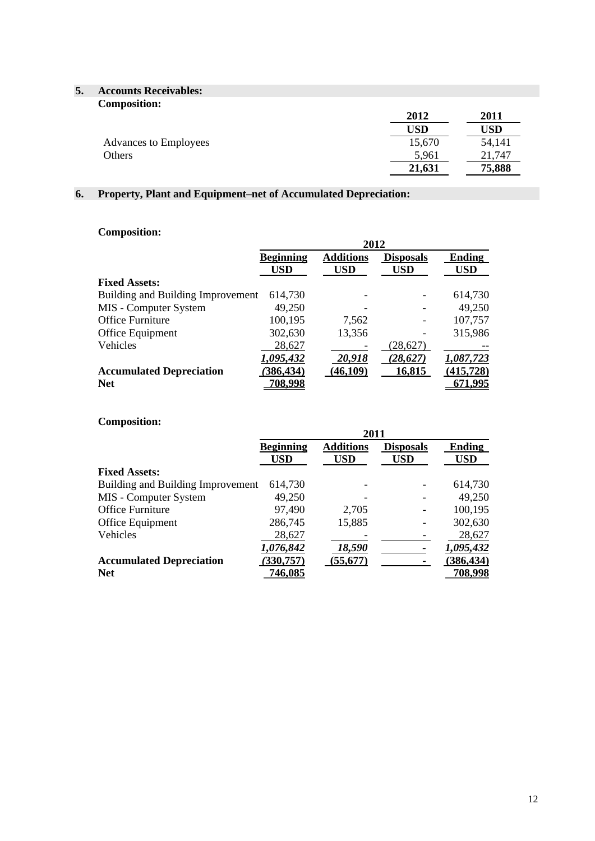# **5. Accounts Receivables:**

| <b>Composition:</b>   | 2012   | 2011   |
|-----------------------|--------|--------|
|                       | USD    | USD    |
| Advances to Employees | 15,670 | 54,141 |
| Others                | 5,961  | 21,747 |
|                       | 21,631 | 75,888 |

## **6. Property, Plant and Equipment–net of Accumulated Depreciation:**

### **Composition:**

|                                   | 2012             |                  |                  |               |  |  |
|-----------------------------------|------------------|------------------|------------------|---------------|--|--|
|                                   | <b>Beginning</b> | <b>Additions</b> | <b>Disposals</b> | <b>Ending</b> |  |  |
|                                   | USD              | USD              | USD              | <b>USD</b>    |  |  |
| <b>Fixed Assets:</b>              |                  |                  |                  |               |  |  |
| Building and Building Improvement | 614,730          |                  |                  | 614,730       |  |  |
| MIS - Computer System             | 49,250           |                  |                  | 49,250        |  |  |
| <b>Office Furniture</b>           | 100,195          | 7,562            |                  | 107,757       |  |  |
| Office Equipment                  | 302,630          | 13,356           |                  | 315,986       |  |  |
| Vehicles                          | 28,627           |                  | (28,627)         |               |  |  |
|                                   | 1,095,432        | 20,918           | (28, 627)        | 1,087,723     |  |  |
| <b>Accumulated Depreciation</b>   | 386,434          | (46,109)         | 16,815           | (415, 728)    |  |  |
| <b>Net</b>                        | 708.998          |                  |                  | <u>71.995</u> |  |  |

#### **Composition:**

|                                   | 2011             |                  |                  |                |  |  |
|-----------------------------------|------------------|------------------|------------------|----------------|--|--|
|                                   | <b>Beginning</b> | <b>Additions</b> | <b>Disposals</b> | <b>Ending</b>  |  |  |
|                                   | USD              | USD              | USD              | <b>USD</b>     |  |  |
| <b>Fixed Assets:</b>              |                  |                  |                  |                |  |  |
| Building and Building Improvement | 614,730          |                  |                  | 614,730        |  |  |
| MIS - Computer System             | 49,250           |                  |                  | 49,250         |  |  |
| <b>Office Furniture</b>           | 97,490           | 2,705            |                  | 100,195        |  |  |
| Office Equipment                  | 286,745          | 15,885           |                  | 302,630        |  |  |
| Vehicles                          | 28,627           |                  |                  | 28,627         |  |  |
|                                   | 1,076,842        | 18,590           |                  | 1,095,432      |  |  |
| <b>Accumulated Depreciation</b>   | (330,757)        | (55, 677)        |                  | (386, 434)     |  |  |
| <b>Net</b>                        | <u>746,085</u>   |                  |                  | <u>708,998</u> |  |  |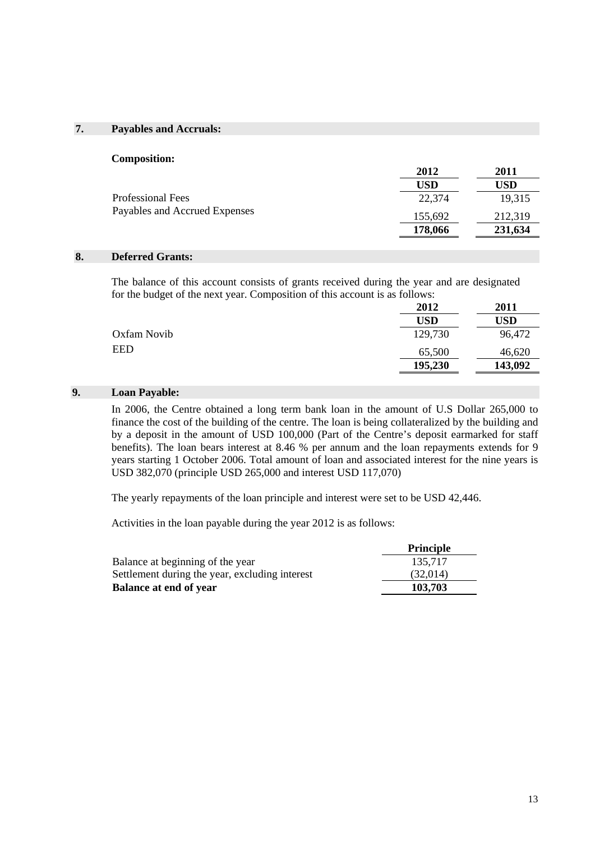#### **7. Payables and Accruals:**

| <b>Composition:</b>           |            |            |
|-------------------------------|------------|------------|
|                               | 2012       | 2011       |
|                               | <b>USD</b> | <b>USD</b> |
| Professional Fees             | 22,374     | 19,315     |
| Payables and Accrued Expenses | 155,692    | 212,319    |
|                               | 178,066    | 231,634    |
|                               |            |            |

#### **8. Deferred Grants:**

The balance of this account consists of grants received during the year and are designated for the budget of the next year. Composition of this account is as follows:

|             | 2012       | 2011    |
|-------------|------------|---------|
|             | <b>USD</b> | USD     |
| Oxfam Novib | 129,730    | 96,472  |
| <b>EED</b>  | 65,500     | 46,620  |
|             | 195,230    | 143,092 |

#### **9. Loan Payable:**

In 2006, the Centre obtained a long term bank loan in the amount of U.S Dollar 265,000 to finance the cost of the building of the centre. The loan is being collateralized by the building and by a deposit in the amount of USD 100,000 (Part of the Centre's deposit earmarked for staff benefits). The loan bears interest at 8.46 % per annum and the loan repayments extends for 9 years starting 1 October 2006. Total amount of loan and associated interest for the nine years is USD 382,070 (principle USD 265,000 and interest USD 117,070)

The yearly repayments of the loan principle and interest were set to be USD 42,446.

Activities in the loan payable during the year 2012 is as follows:

|                                                | <b>Principle</b> |
|------------------------------------------------|------------------|
| Balance at beginning of the year               | 135.717          |
| Settlement during the year, excluding interest | (32,014)         |
| <b>Balance at end of year</b>                  | 103,703          |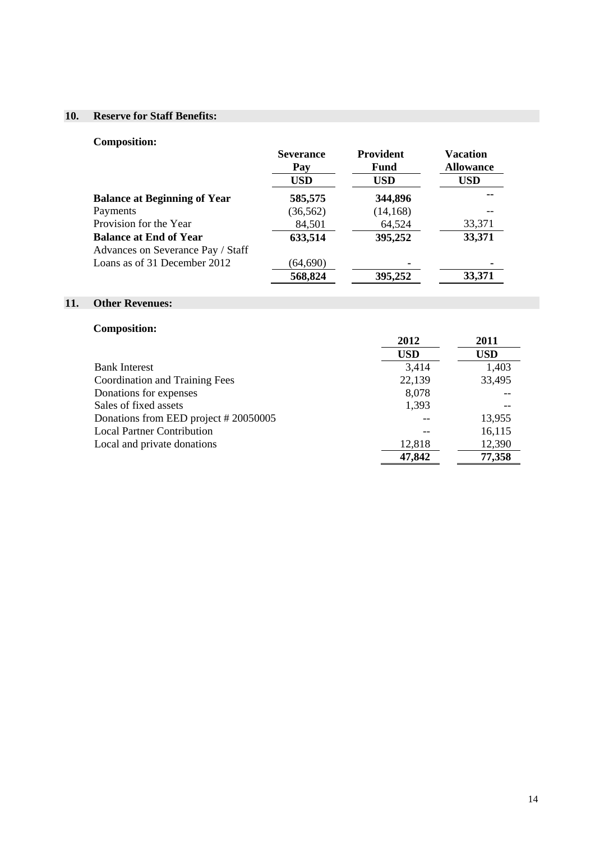### **10. Reserve for Staff Benefits:**

### **Composition:**

|                                                                    | <b>Severance</b><br>Pay | <b>Provident</b><br>Fund | <b>Vacation</b><br><b>Allowance</b> |
|--------------------------------------------------------------------|-------------------------|--------------------------|-------------------------------------|
|                                                                    | <b>USD</b>              | <b>USD</b>               | <b>USD</b>                          |
| <b>Balance at Beginning of Year</b>                                | 585,575                 | 344,896                  | --                                  |
| Payments                                                           | (36, 562)               | (14, 168)                |                                     |
| Provision for the Year                                             | 84,501                  | 64,524                   | 33,371                              |
| <b>Balance at End of Year</b><br>Advances on Severance Pay / Staff | 633,514                 | 395,252                  | 33,371                              |
| Loans as of 31 December 2012                                       | (64, 690)               |                          |                                     |
|                                                                    | 568,824                 | 395,252                  | 33,371                              |

### **11. Other Revenues:**

### **Composition:**

|                                      | 2012       | 2011       |
|--------------------------------------|------------|------------|
|                                      | <b>USD</b> | <b>USD</b> |
| <b>Bank Interest</b>                 | 3,414      | 1,403      |
| Coordination and Training Fees       | 22,139     | 33,495     |
| Donations for expenses               | 8,078      |            |
| Sales of fixed assets                | 1,393      |            |
| Donations from EED project #20050005 |            | 13,955     |
| <b>Local Partner Contribution</b>    |            | 16,115     |
| Local and private donations          | 12,818     | 12,390     |
|                                      | 47,842     | 77,358     |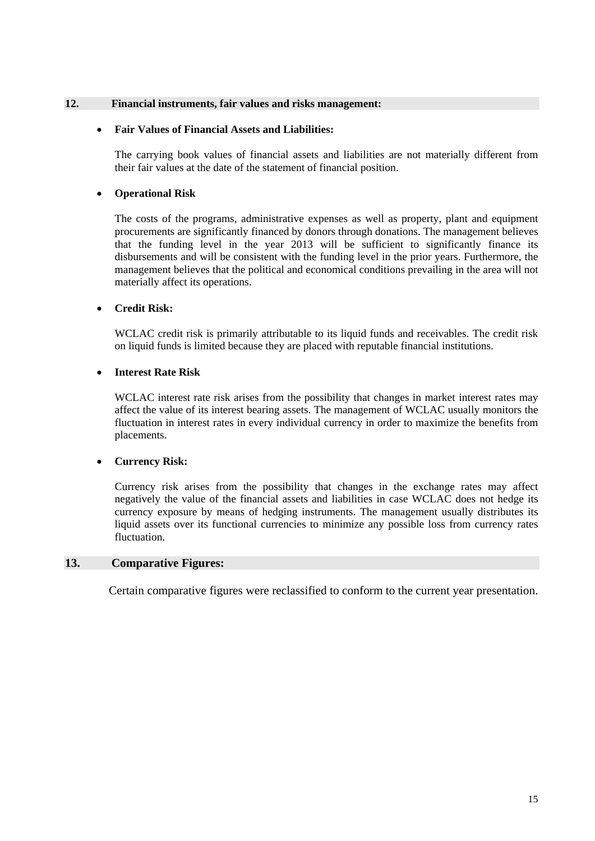#### **12. Financial instruments, fair values and risks management:**

#### **Fair Values of Financial Assets and Liabilities:**

The carrying book values of financial assets and liabilities are not materially different from their fair values at the date of the statement of financial position.

#### **Operational Risk**

The costs of the programs, administrative expenses as well as property, plant and equipment procurements are significantly financed by donors through donations. The management believes that the funding level in the year 2013 will be sufficient to significantly finance its disbursements and will be consistent with the funding level in the prior years. Furthermore, the management believes that the political and economical conditions prevailing in the area will not materially affect its operations.

#### **Credit Risk:**

WCLAC credit risk is primarily attributable to its liquid funds and receivables. The credit risk on liquid funds is limited because they are placed with reputable financial institutions.

#### **Interest Rate Risk**

WCLAC interest rate risk arises from the possibility that changes in market interest rates may affect the value of its interest bearing assets. The management of WCLAC usually monitors the fluctuation in interest rates in every individual currency in order to maximize the benefits from placements.

#### **Currency Risk:**

Currency risk arises from the possibility that changes in the exchange rates may affect negatively the value of the financial assets and liabilities in case WCLAC does not hedge its currency exposure by means of hedging instruments. The management usually distributes its liquid assets over its functional currencies to minimize any possible loss from currency rates fluctuation.

#### **13. Comparative Figures:**

Certain comparative figures were reclassified to conform to the current year presentation.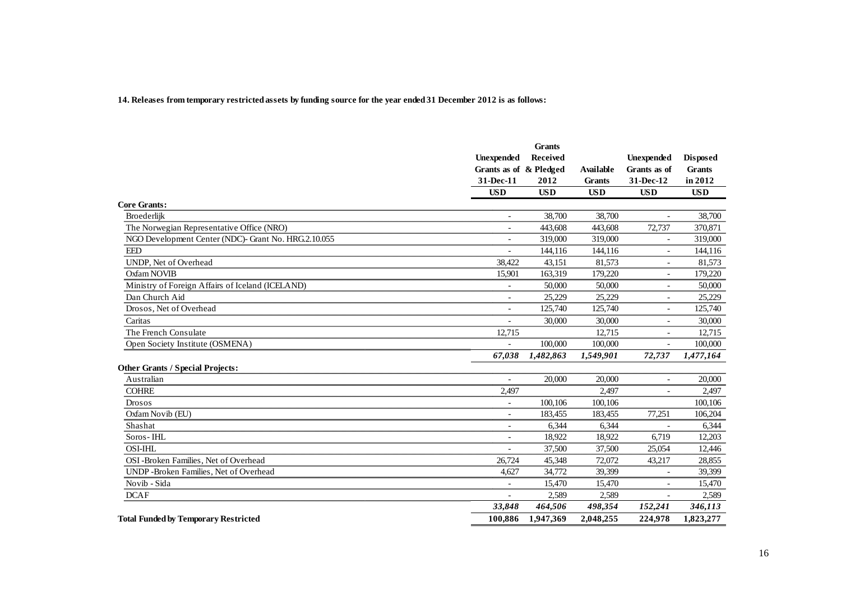#### **14. Releases from temporary restricted assets by funding source for the year ended 31 December 2012 is as follows:**

|                                                      |                          | <b>Grants</b> |               |                          |                 |
|------------------------------------------------------|--------------------------|---------------|---------------|--------------------------|-----------------|
|                                                      | <b>Unexpended</b>        | Received      |               | <b>Unexpended</b>        | <b>Disposed</b> |
|                                                      | Grants as of & Pledged   |               | Available     | Grants as of             | <b>Grants</b>   |
|                                                      | 31-Dec-11                | 2012          | <b>Grants</b> | 31-Dec-12                | in 2012         |
|                                                      | <b>USD</b>               | <b>USD</b>    | <b>USD</b>    | <b>USD</b>               | <b>USD</b>      |
| <b>Core Grants:</b>                                  |                          |               |               |                          |                 |
| Broederlijk                                          | $\overline{\phantom{a}}$ | 38,700        | 38,700        | $\sim$                   | 38,700          |
| The Norwegian Representative Office (NRO)            | $\overline{\phantom{a}}$ | 443,608       | 443,608       | 72,737                   | 370,871         |
| NGO Development Center (NDC)- Grant No. HRG.2.10.055 |                          | 319,000       | 319,000       |                          | 319,000         |
| <b>EED</b>                                           | $\overline{\phantom{a}}$ | 144,116       | 144,116       | $\overline{\phantom{a}}$ | 144,116         |
| UNDP, Net of Overhead                                | 38,422                   | 43,151        | 81,573        |                          | 81,573          |
| Oxfam NOVIB                                          | 15,901                   | 163,319       | 179,220       | $\sim$                   | 179,220         |
| Ministry of Foreign Affairs of Iceland (ICELAND)     | $\overline{a}$           | 50,000        | 50,000        |                          | 50,000          |
| Dan Church Aid                                       | $\overline{\phantom{a}}$ | 25,229        | 25.229        | $\overline{\phantom{a}}$ | 25,229          |
| Drosos, Net of Overhead                              | $\blacksquare$           | 125,740       | 125,740       | $\sim$                   | 125,740         |
| Caritas                                              |                          | 30,000        | 30,000        | $\overline{a}$           | 30,000          |
| The French Consulate                                 | 12,715                   |               | 12,715        |                          | 12,715          |
| Open Society Institute (OSMENA)                      |                          | 100,000       | 100,000       | $\blacksquare$           | 100,000         |
|                                                      | 67,038                   | 1,482,863     | 1,549,901     | 72,737                   | 1,477,164       |
| <b>Other Grants / Special Projects:</b>              |                          |               |               |                          |                 |
| Australian                                           | $\overline{\phantom{a}}$ | 20,000        | 20,000        | $\overline{\phantom{m}}$ | 20,000          |
| <b>COHRE</b>                                         | 2,497                    |               | 2,497         |                          | 2,497           |
| Drosos                                               | $\overline{\phantom{a}}$ | 100,106       | 100,106       |                          | 100,106         |
| Oxfam Novib (EU)                                     | $\blacksquare$           | 183,455       | 183,455       | 77,251                   | 106,204         |
| Shashat                                              | $\overline{\phantom{a}}$ | 6,344         | 6,344         |                          | 6,344           |
| Soros-IHL                                            | $\overline{\phantom{a}}$ | 18,922        | 18,922        | 6,719                    | 12,203          |
| <b>OSI-IHL</b>                                       |                          | 37,500        | 37,500        | 25,054                   | 12,446          |
| OSI-Broken Families, Net of Overhead                 | 26,724                   | 45,348        | 72,072        | 43,217                   | 28,855          |
| UNDP-Broken Families, Net of Overhead                | 4,627                    | 34,772        | 39,399        |                          | 39,399          |
| Novib - Sida                                         | $\overline{\phantom{a}}$ | 15,470        | 15,470        | $\sim$                   | 15,470          |
| <b>DCAF</b>                                          |                          | 2,589         | 2,589         |                          | 2,589           |
|                                                      | 33,848                   | 464,506       | 498,354       | 152,241                  | 346,113         |
| <b>Total Funded by Temporary Restricted</b>          | 100,886                  | 1,947,369     | 2,048,255     | 224,978                  | 1,823,277       |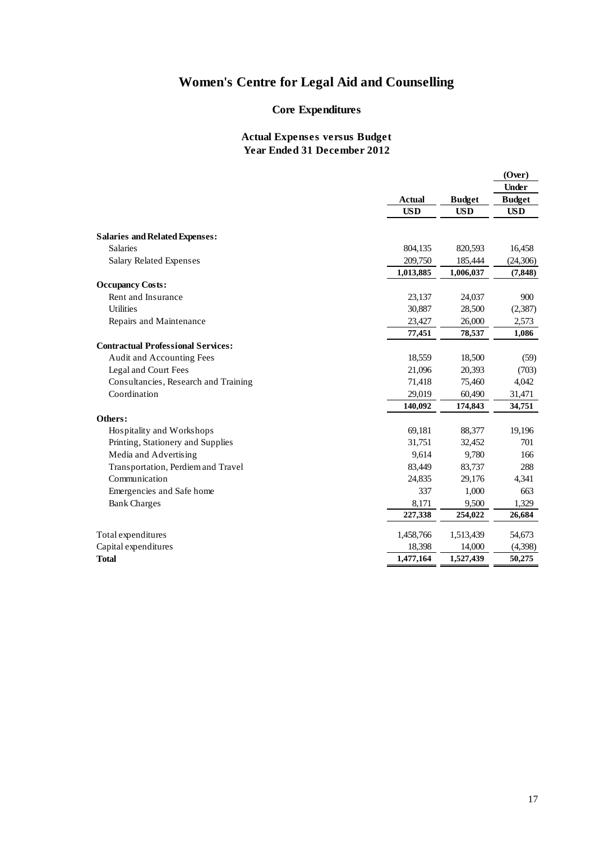### **Core Expenditures**

|                                           |               |               | (Over)                        |
|-------------------------------------------|---------------|---------------|-------------------------------|
|                                           | <b>Actual</b> | <b>Budget</b> | <b>Under</b><br><b>Budget</b> |
|                                           | <b>USD</b>    | <b>USD</b>    | <b>USD</b>                    |
|                                           |               |               |                               |
| <b>Salaries and Related Expenses:</b>     |               |               |                               |
| <b>Salaries</b>                           | 804,135       | 820,593       | 16,458                        |
| Salary Related Expenses                   | 209,750       | 185,444       | (24,306)                      |
|                                           | 1,013,885     | 1,006,037     | (7, 848)                      |
| <b>Occupancy Costs:</b>                   |               |               |                               |
| Rent and Insurance                        | 23,137        | 24,037        | 900                           |
| <b>Utilities</b>                          | 30,887        | 28,500        | (2,387)                       |
| Repairs and Maintenance                   | 23,427        | 26,000        | 2,573                         |
|                                           | 77,451        | 78,537        | 1,086                         |
| <b>Contractual Professional Services:</b> |               |               |                               |
| Audit and Accounting Fees                 | 18,559        | 18,500        | (59)                          |
| Legal and Court Fees                      | 21,096        | 20,393        | (703)                         |
| Consultancies, Research and Training      | 71,418        | 75,460        | 4,042                         |
| Coordination                              | 29,019        | 60,490        | 31,471                        |
|                                           | 140,092       | 174,843       | 34,751                        |
| Others:                                   |               |               |                               |
| Hospitality and Workshops                 | 69,181        | 88,377        | 19,196                        |
| Printing, Stationery and Supplies         | 31,751        | 32,452        | 701                           |
| Media and Advertising                     | 9,614         | 9,780         | 166                           |
| Transportation, Perdiem and Travel        | 83,449        | 83,737        | 288                           |
| Communication                             | 24,835        | 29,176        | 4,341                         |
| Emergencies and Safe home                 | 337           | 1,000         | 663                           |
| <b>Bank Charges</b>                       | 8,171         | 9,500         | 1,329                         |
|                                           | 227,338       | 254,022       | 26,684                        |
| Total expenditures                        | 1,458,766     | 1,513,439     | 54,673                        |
| Capital expenditures                      | 18,398        | 14,000        | (4,398)                       |
| <b>Total</b>                              | 1,477,164     | 1,527,439     | 50,275                        |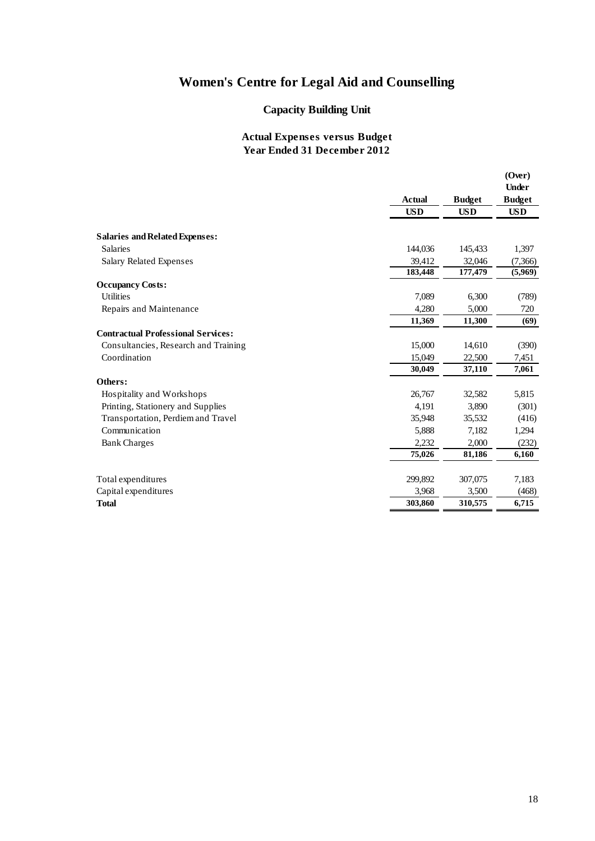## **Capacity Building Unit**

|                                           | <b>Actual</b><br><b>USD</b> | <b>Budget</b><br><b>USD</b> | (Over)<br><b>Under</b><br><b>Budget</b><br><b>USD</b> |
|-------------------------------------------|-----------------------------|-----------------------------|-------------------------------------------------------|
|                                           |                             |                             |                                                       |
| <b>Salaries and Related Expenses:</b>     |                             |                             |                                                       |
| <b>Salaries</b>                           | 144,036                     | 145,433                     | 1,397                                                 |
| <b>Salary Related Expenses</b>            | 39,412<br>183,448           | 32,046<br>177,479           | (7,366)                                               |
| <b>Occupancy Costs:</b>                   |                             |                             | (5,969)                                               |
| <b>Utilities</b>                          | 7,089                       | 6,300                       | (789)                                                 |
| Repairs and Maintenance                   | 4,280                       | 5,000                       | 720                                                   |
|                                           | 11,369                      | 11,300                      | (69)                                                  |
| <b>Contractual Professional Services:</b> |                             |                             |                                                       |
| Consultancies, Research and Training      | 15,000                      | 14,610                      | (390)                                                 |
| Coordination                              | 15,049                      | 22,500                      | 7,451                                                 |
|                                           | 30,049                      | 37,110                      | 7,061                                                 |
| Others:                                   |                             |                             |                                                       |
| Hospitality and Workshops                 | 26,767                      | 32,582                      | 5,815                                                 |
| Printing, Stationery and Supplies         | 4,191                       | 3,890                       | (301)                                                 |
| Transportation, Perdiem and Travel        | 35,948                      | 35,532                      | (416)                                                 |
| Communication                             | 5,888                       | 7,182                       | 1,294                                                 |
| <b>Bank Charges</b>                       | 2,232                       | 2,000                       | (232)                                                 |
|                                           | 75,026                      | 81,186                      | 6,160                                                 |
|                                           |                             |                             |                                                       |
| Total expenditures                        | 299,892                     | 307,075                     | 7,183                                                 |
| Capital expenditures                      | 3,968                       | 3,500                       | (468)                                                 |
| <b>Total</b>                              | 303,860                     | 310,575                     | 6,715                                                 |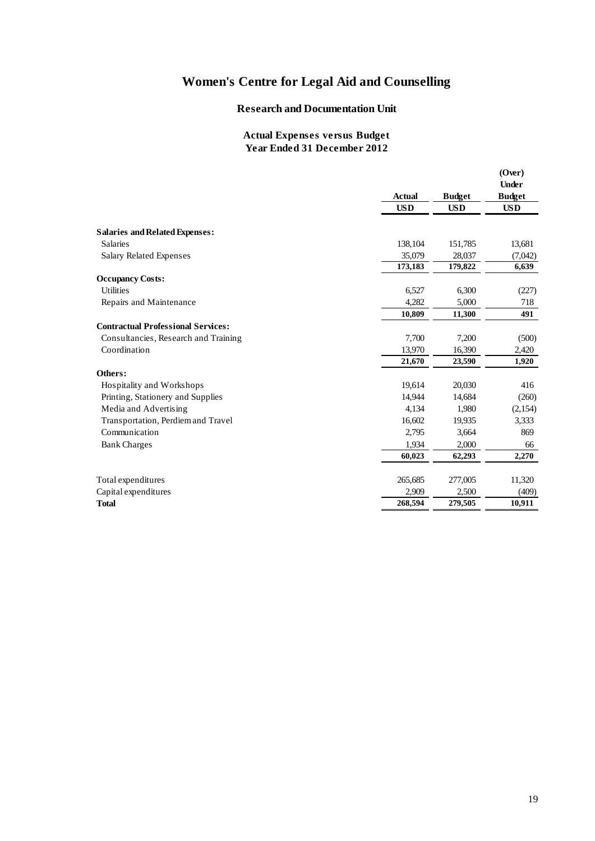#### **Research and Documentation Unit**

|                                           | <b>Actual</b> | <b>Budget</b> | (Over)<br><b>Under</b><br><b>Budget</b> |
|-------------------------------------------|---------------|---------------|-----------------------------------------|
|                                           | <b>USD</b>    | <b>USD</b>    | <b>USD</b>                              |
|                                           |               |               |                                         |
| <b>Salaries and Related Expenses:</b>     |               |               |                                         |
| <b>Salaries</b>                           | 138,104       | 151,785       | 13,681                                  |
| Salary Related Expenses                   | 35,079        | 28,037        | (7,042)                                 |
|                                           | 173,183       | 179,822       | 6,639                                   |
| <b>Occupancy Costs:</b>                   |               |               |                                         |
| <b>Utilities</b>                          | 6,527         | 6,300         | (227)                                   |
| Repairs and Maintenance                   | 4,282         | 5.000         | 718                                     |
|                                           | 10,809        | 11,300        | 491                                     |
| <b>Contractual Professional Services:</b> |               |               |                                         |
| Consultancies, Research and Training      | 7,700         | 7,200         | (500)                                   |
| Coordination                              | 13,970        | 16,390        | 2,420                                   |
|                                           | 21,670        | 23,590        | 1,920                                   |
| Others:                                   |               |               |                                         |
| Hospitality and Workshops                 | 19,614        | 20,030        | 416                                     |
| Printing, Stationery and Supplies         | 14,944        | 14,684        | (260)                                   |
| Media and Advertising                     | 4,134         | 1,980         | (2,154)                                 |
| Transportation, Perdiem and Travel        | 16,602        | 19,935        | 3,333                                   |
| Communication                             | 2,795         | 3,664         | 869                                     |
| <b>Bank Charges</b>                       | 1.934         | 2,000         | 66                                      |
|                                           | 60,023        | 62,293        | 2,270                                   |
|                                           |               |               |                                         |
| Total expenditures                        | 265,685       | 277,005       | 11,320                                  |
| Capital expenditures                      | 2,909         | 2,500         | (409)                                   |
| <b>Total</b>                              | 268,594       | 279,505       | 10,911                                  |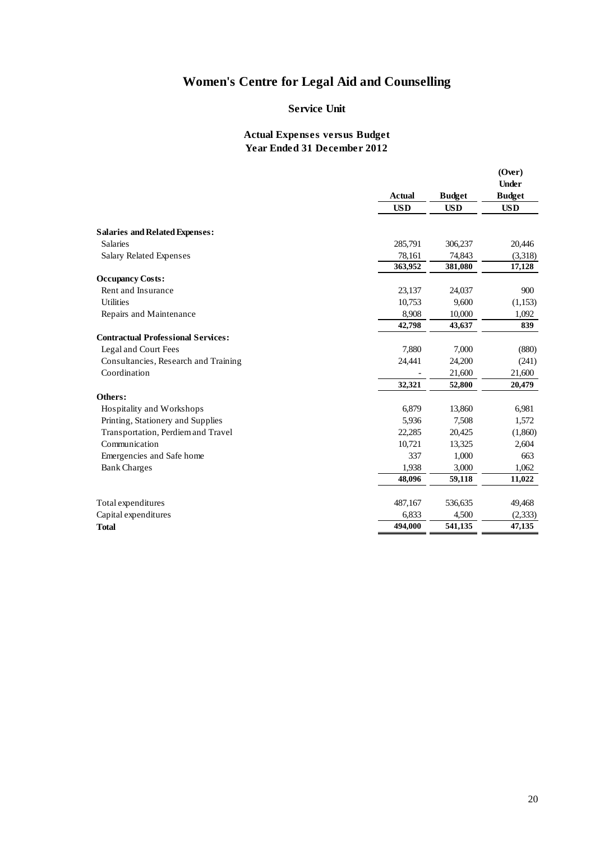#### **Service Unit**

|                                           |               |               | (Over)<br><b>Under</b> |  |
|-------------------------------------------|---------------|---------------|------------------------|--|
|                                           | <b>Actual</b> | <b>Budget</b> | <b>Budget</b>          |  |
|                                           | <b>USD</b>    | <b>USD</b>    | <b>USD</b>             |  |
| <b>Salaries and Related Expenses:</b>     |               |               |                        |  |
| <b>Salaries</b>                           | 285,791       | 306,237       | 20,446                 |  |
| <b>Salary Related Expenses</b>            | 78,161        | 74,843        | (3,318)                |  |
|                                           | 363,952       | 381,080       | 17,128                 |  |
| <b>Occupancy Costs:</b>                   |               |               |                        |  |
| Rent and Insurance                        | 23,137        | 24,037        | 900                    |  |
| <b>Utilities</b>                          | 10,753        | 9,600         | (1,153)                |  |
| Repairs and Maintenance                   | 8,908         | 10,000        | 1,092                  |  |
|                                           | 42,798        | 43,637        | 839                    |  |
| <b>Contractual Professional Services:</b> |               |               |                        |  |
| Legal and Court Fees                      | 7,880         | 7,000         | (880)                  |  |
| Consultancies, Research and Training      | 24,441        | 24,200        | (241)                  |  |
| Coordination                              |               | 21,600        | 21,600                 |  |
|                                           | 32,321        | 52,800        | 20,479                 |  |
| Others:                                   |               |               |                        |  |
| Hospitality and Workshops                 | 6,879         | 13,860        | 6,981                  |  |
| Printing, Stationery and Supplies         | 5,936         | 7,508         | 1,572                  |  |
| Transportation, Perdiem and Travel        | 22,285        | 20,425        | (1,860)                |  |
| Communication                             | 10,721        | 13,325        | 2,604                  |  |
| Emergencies and Safe home                 | 337           | 1,000         | 663                    |  |
| <b>Bank Charges</b>                       | 1,938         | 3,000         | 1,062                  |  |
|                                           | 48,096        | 59,118        | 11,022                 |  |
| Total expenditures                        | 487,167       | 536,635       | 49,468                 |  |
| Capital expenditures                      | 6,833         | 4,500         | (2, 333)               |  |
| <b>Total</b>                              | 494,000       | 541,135       | 47,135                 |  |
|                                           |               |               |                        |  |